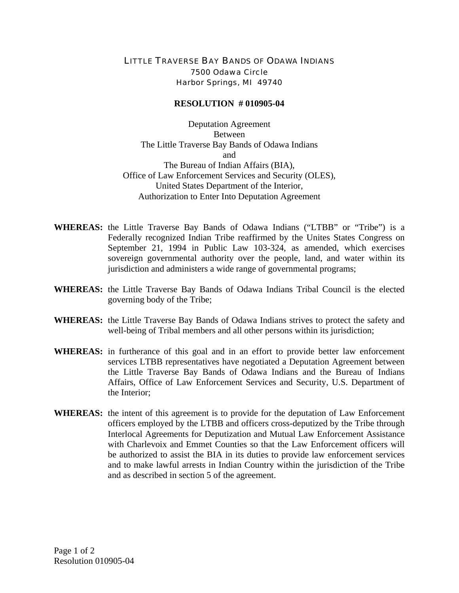## LITTLE TRAVERSE BAY BANDS OF ODAWA INDIANS 7500 Odawa Circle Harbor Springs, MI 49740

## **RESOLUTION # 010905-04**

Deputation Agreement Between The Little Traverse Bay Bands of Odawa Indians and The Bureau of Indian Affairs (BIA), Office of Law Enforcement Services and Security (OLES), United States Department of the Interior, Authorization to Enter Into Deputation Agreement

- **WHEREAS:** the Little Traverse Bay Bands of Odawa Indians ("LTBB" or "Tribe") is a Federally recognized Indian Tribe reaffirmed by the Unites States Congress on September 21, 1994 in Public Law 103-324, as amended, which exercises sovereign governmental authority over the people, land, and water within its jurisdiction and administers a wide range of governmental programs;
- **WHEREAS:** the Little Traverse Bay Bands of Odawa Indians Tribal Council is the elected governing body of the Tribe;
- **WHEREAS:** the Little Traverse Bay Bands of Odawa Indians strives to protect the safety and well-being of Tribal members and all other persons within its jurisdiction;
- **WHEREAS:** in furtherance of this goal and in an effort to provide better law enforcement services LTBB representatives have negotiated a Deputation Agreement between the Little Traverse Bay Bands of Odawa Indians and the Bureau of Indians Affairs, Office of Law Enforcement Services and Security, U.S. Department of the Interior;
- **WHEREAS:** the intent of this agreement is to provide for the deputation of Law Enforcement officers employed by the LTBB and officers cross-deputized by the Tribe through Interlocal Agreements for Deputization and Mutual Law Enforcement Assistance with Charlevoix and Emmet Counties so that the Law Enforcement officers will be authorized to assist the BIA in its duties to provide law enforcement services and to make lawful arrests in Indian Country within the jurisdiction of the Tribe and as described in section 5 of the agreement.